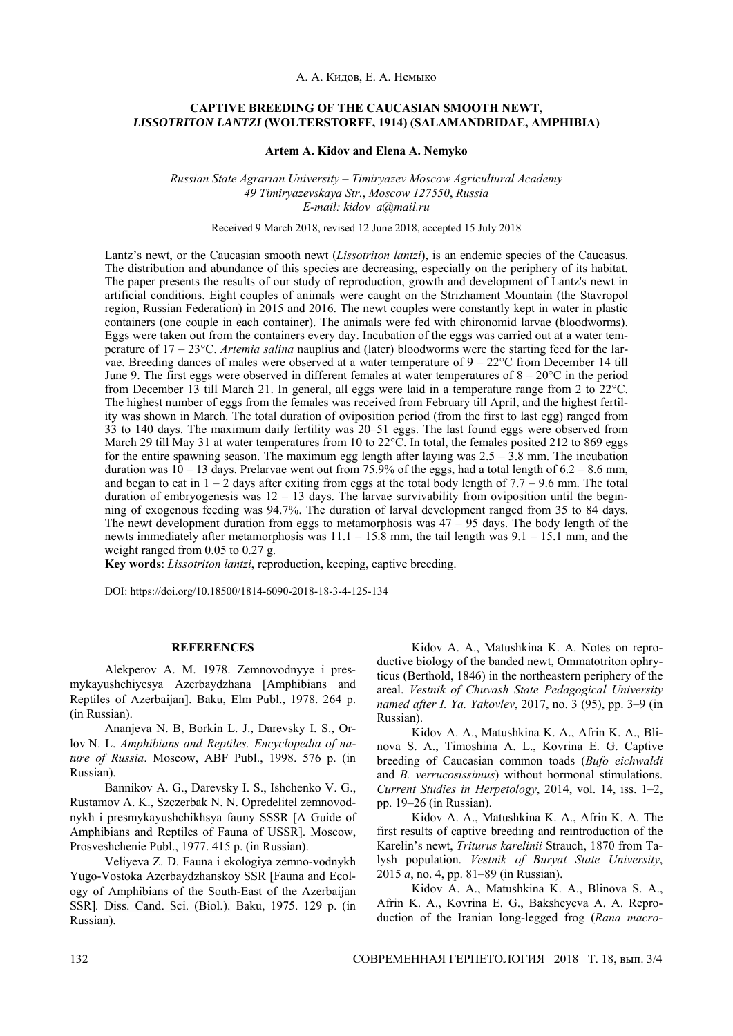## **CAPTIVE BREEDING OF THE CAUCASIAN SMOOTH NEWT,**  *LISSOTRITON LANTZI* **(WOLTERSTORFF, 1914) (SALAMANDRIDAE, AMPHIBIA)**

**Artem A. Kidov and Elena A. Nemyko**

*Russian State Agrarian University* – *Timiryazev Moscow Agricultural Academy 49 Timiryazevskaya Str.*, *Moscow 127550*, *Russia E-mail: kidov\_a@mail.ru*

Received 9 March 2018, revised 12 June 2018, accepted 15 July 2018

Lantz's newt, or the Caucasian smooth newt (*Lissotriton lantzi*), is an endemic species of the Caucasus. The distribution and abundance of this species are decreasing, especially on the periphery of its habitat. The paper presents the results of our study of reproduction, growth and development of Lantz's newt in artificial conditions. Eight couples of animals were caught on the Strizhament Mountain (the Stavropol region, Russian Federation) in 2015 and 2016. The newt couples were constantly kept in water in plastic containers (one couple in each container). The animals were fed with chironomid larvae (bloodworms). Eggs were taken out from the containers every day. Incubation of the eggs was carried out at a water temperature of 17 – 23°C. *Artemia salina* nauplius and (later) bloodworms were the starting feed for the larvae. Breeding dances of males were observed at a water temperature of  $9 - 22^{\circ}$ C from December 14 till June 9. The first eggs were observed in different females at water temperatures of  $8-20^{\circ}$ C in the period from December 13 till March 21. In general, all eggs were laid in a temperature range from 2 to 22°C. The highest number of eggs from the females was received from February till April, and the highest fertility was shown in March. The total duration of oviposition period (from the first to last egg) ranged from 33 to 140 days. The maximum daily fertility was 20–51 eggs. The last found eggs were observed from March 29 till May 31 at water temperatures from 10 to 22°C. In total, the females posited 212 to 869 eggs for the entire spawning season. The maximum egg length after laying was  $2.5 - 3.8$  mm. The incubation duration was  $10 - 13$  days. Prelarvae went out from 75.9% of the eggs, had a total length of 6.2 – 8.6 mm. and began to eat in  $1 - 2$  days after exiting from eggs at the total body length of  $7.7 - 9.6$  mm. The total duration of embryogenesis was  $12 - 13$  days. The larvae survivability from oviposition until the beginning of exogenous feeding was 94.7%. The duration of larval development ranged from 35 to 84 days. The newt development duration from eggs to metamorphosis was  $47 - 95$  days. The body length of the newts immediately after metamorphosis was 11.1 – 15.8 mm, the tail length was 9.1 – 15.1 mm, and the weight ranged from 0.05 to 0.27 g.

**Key words**: *Lissotriton lantzi*, reproduction, keeping, captive breeding.

DOI: https://doi.org/10.18500/1814-6090-2018-18-3-4-125-134

## **REFERENCES**

Alekperov A. M. 1978. Zemnovodnyye i presmykayushchiyesya Azerbaydzhana [Amphibians and Reptiles of Azerbaijan]. Baku, Elm Publ., 1978. 264 p. (in Russian).

Ananjeva N. B, Borkin L. J., Darevsky I. S., Orlov N. L. *Amphibians and Reptiles. Encyclopedia of nature of Russia*. Moscow, ABF Publ., 1998. 576 p. (in Russian).

Bannikov A. G., Darevsky I. S., Ishchenko V. G., Rustamov A. K., Szczerbak N. N. Opredelitel zemnovodnykh i presmykayushchikhsya fauny SSSR [A Guide of Amphibians and Reptiles of Fauna of USSR]. Moscow, Prosveshchenie Publ., 1977. 415 p. (in Russian).

Veliyeva Z. D. Fauna i ekologiya zemno-vodnykh Yugo-Vostoka Azerbaydzhanskoy SSR [Fauna and Ecology of Amphibians of the South-East of the Azerbaijan SSR]*.* Diss. Cand. Sci. (Biol.). Baku, 1975. 129 p. (in Russian).

Kidov A. A., Matushkina K. A. Notes on reproductive biology of the banded newt, Ommatotriton ophryticus (Berthold, 1846) in the northeastern periphery of the areal. *Vestnik of Chuvash State Pedagogical University named after I. Ya. Yakovlev*, 2017, no. 3 (95), pp. 3–9 (in Russian).

Kidov A. A., Matushkina K. A., Afrin K. A., Blinova S. A., Timoshina A. L., Kovrina E. G. Captive breeding of Caucasian common toads (*Bufo eichwaldi* and *B. verrucosissimus*) without hormonal stimulations. *Current Studies in Herpetology*, 2014, vol. 14, iss. 1–2, pp. 19–26 (in Russian).

Kidov A. A., Matushkina K. A., Afrin K. A. The first results of captive breeding and reintroduction of the Karelin's newt, *Triturus karelinii* Strauch, 1870 from Talysh population. *Vestnik of Buryat State University*, 2015 *a*, no. 4, pp. 81–89 (in Russian).

Kidov A. A., Matushkina K. A., Blinova S. A., Afrin K. A., Kovrina E. G., Baksheyeva A. A. Reproduction of the Iranian long-legged frog (*Rana macro-*

132 СОВРЕМЕННАЯ ГЕРПЕТОЛОГИЯ 2018 Т. 18, вып. 3/4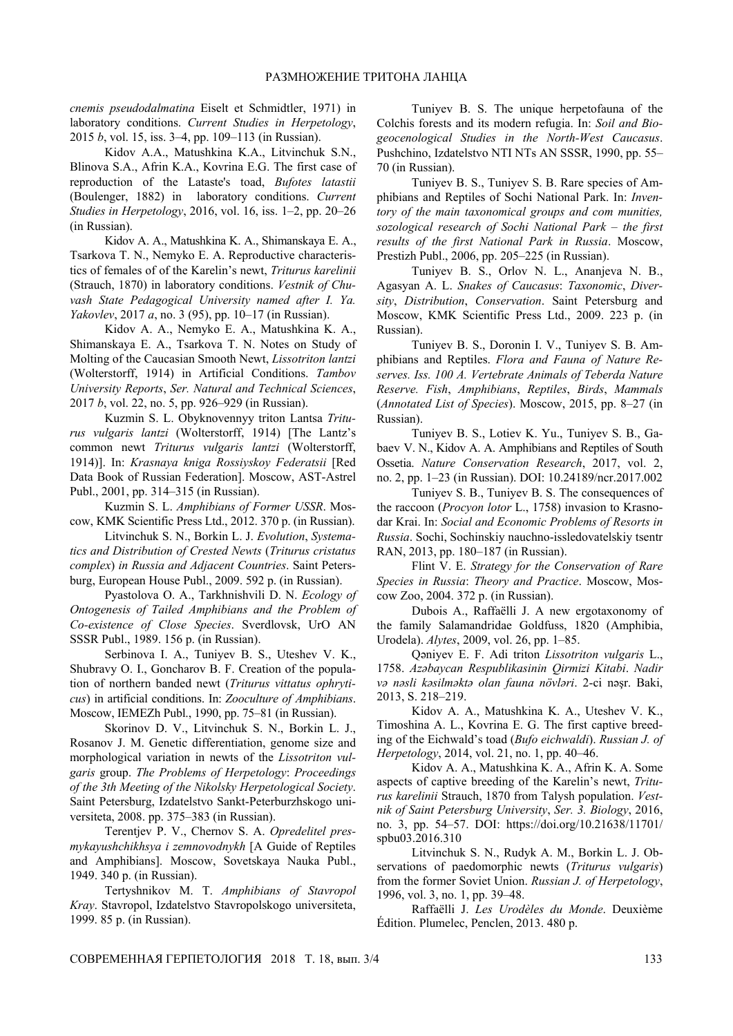*cnemis pseudodalmatina* Eiselt et Schmidtler, 1971) in laboratory conditions. *Current Studies in Herpetology*, 2015 *b*, vol. 15, iss. 3–4, pp. 109–113 (in Russian).

Kidov A.A., Matushkina K.A., Litvinchuk S.N., Blinova S.A., Afrin K.A., Kovrina E.G. The first case of reproduction of the Lataste's toad, *Bufotes latastii* (Boulenger, 1882) in laboratory conditions. *Current Studies in Herpetology*, 2016, vol. 16, iss. 1–2, pp. 20–26 (in Russian).

Kidov A. A., Matushkina K. A., Shimanskaya E. A., Tsarkova T. N., Nemyko E. A. Reproductive characteristics of females of of the Karelin's newt, *Triturus karelinii* (Strauch, 1870) in laboratory conditions. *Vestnik of Chuvash State Pedagogical University named after I. Ya. Yakovlev*, 2017 *a*, no. 3 (95), pp. 10–17 (in Russian).

Kidov A. A., Nemyko E. A., Matushkina K. A., Shimanskaya E. A., Tsarkova T. N. Notes on Study of Molting of the Caucasian Smooth Newt, *Lissotriton lantzi* (Wolterstorff, 1914) in Artificial Conditions. *Tambov University Reports*, *Ser. Natural and Technical Sciences*, 2017 *b*, vol. 22, no. 5, pp. 926–929 (in Russian).

Kuzmin S. L. Obyknovennyy triton Lantsa *Triturus vulgaris lantzi* (Wolterstorff, 1914) [The Lantz's common newt *Triturus vulgaris lantzi* (Wolterstorff, 1914)]. In: *Krasnaya kniga Rossiyskoy Federatsii* [Red Data Book of Russian Federation]. Moscow, AST-Astrel Publ., 2001, pp. 314–315 (in Russian).

Kuzmin S. L. *Amphibians of Former USSR*. Moscow, KMK Scientific Press Ltd., 2012. 370 p. (in Russian).

Litvinchuk S. N., Borkin L. J. *Evolution*, *Systematics and Distribution of Crested Newts* (*Triturus cristatus complex*) *in Russia and Adjacent Countries*. Saint Petersburg, European House Publ., 2009. 592 p. (in Russian).

Pyastolova O. A., Tarkhnishvili D. N. *Ecology of Ontogenesis of Tailed Amphibians and the Problem of Co-existence of Close Species*. Sverdlovsk, UrO AN SSSR Publ., 1989. 156 p. (in Russian).

Serbinova I. A., Tuniyev B. S., Uteshev V. K., Shubravy O. I., Goncharov B. F. Creation of the population of northern banded newt (*Triturus vittatus ophryticus*) in artificial conditions. In: *Zooculture of Amphibians*. Moscow, IEMEZh Publ., 1990, pp. 75–81 (in Russian).

Skorinov D. V., Litvinchuk S. N., Borkin L. J., Rosanov J. M. Genetic differentiation, genome size and morphological variation in newts of the *Lissotriton vulgaris* group. *The Problems of Herpetology*: *Proceedings of the 3th Meeting of the Nikolsky Herpetological Society*. Saint Petersburg, Izdatelstvo Sankt-Peterburzhskogo universiteta, 2008. pp. 375–383 (in Russian).

Terentjev P. V., Chernov S. A. *Opredelitel presmykayushchikhsya i zemnovodnykh* [A Guide of Reptiles and Amphibians]. Moscow, Sovetskaya Nauka Publ., 1949. 340 p. (in Russian).

Tertyshnikov M. T. *Amphibians of Stavropol Kray*. Stavropol, Izdatelstvo Stavropolskogo universiteta, 1999. 85 p. (in Russian).

Tuniyev B. S. The unique herpetofauna of the Colchis forests and its modern refugia. In: *Soil and Biogeocenological Studies in the North-West Caucasus*. Pushchino, Izdatelstvo NTI NTs AN SSSR, 1990, pp. 55– 70 (in Russian).

Tuniyev B. S., Tuniyev S. B. Rare species of Amphibians and Reptiles of Sochi National Park. In: *Inventory of the main taxonomical groups and com munities, sozological research of Sochi National Park – the first results of the first National Park in Russia*. Moscow, Prestizh Publ., 2006, pp. 205–225 (in Russian).

Tuniyev B. S., Orlov N. L., Ananjeva N. B., Agasyan A. L. *Snakes of Caucasus*: *Taxonomic*, *Diversity*, *Distribution*, *Conservation*. Saint Petersburg and Moscow, KMK Scientific Press Ltd., 2009. 223 p. (in Russian).

Tuniyev B. S., Doronin I. V., Tuniyev S. B. Amphibians and Reptiles. *Flora and Fauna of Nature Reserves. Iss. 100 A. Vertebrate Animals of Teberda Nature Reserve. Fish*, *Amphibians*, *Reptiles*, *Birds*, *Mammals*  (*Annotated List of Species*). Moscow, 2015, pp. 8–27 (in Russian).

Tuniyev B. S., Lotiev K. Yu., Tuniyev S. B., Gabaev V. N., Kidov A. A. Amphibians and Reptiles of South Ossetia. *Nature Conservation Research*, 2017, vol. 2, no. 2, pp. 1–23 (in Russian). DOI: 10.24189/ncr.2017.002

Tuniyev S. B., Tuniyev B. S. The consequences of the raccoon (*Procyon lotor* L., 1758) invasion to Krasnodar Krai. In: *Social and Economic Problems of Resorts in Russia*. Sochi, Sochinskiy nauchno-issledovatelskiy tsentr RAN, 2013, pp. 180–187 (in Russian).

Flint V. E. *Strategy for the Conservation of Rare Species in Russia*: *Theory and Practice*. Moscow, Moscow Zoo, 2004. 372 p. (in Russian).

Dubois A., Raffaëlli J. A new ergotaxonomy of the family Salamandridae Goldfuss, 1820 (Amphibia, Urodela). *Alytes*, 2009, vol. 26, pp. 1–85.

Qəniyev E. F. Adi triton *Lissotriton vulgaris* L., 1758. *Azəbaycan Respublikasinin Qirmizi Kitabi*. *Nadir və nəsli kəsilməktə olan fauna növləri*. 2-ci nəşr. Baki, 2013, S. 218–219.

Kidov A. A., Matushkina K. A., Uteshev V. K., Timoshina A. L., Kovrina E. G. The first captive breeding of the Eichwald's toad (*Bufo eichwaldi*). *Russian J. of Herpetology*, 2014, vol. 21, no. 1, pp. 40–46.

Kidov A. A., Matushkina K. A., Afrin K. A. Some aspects of captive breeding of the Karelin's newt, *Triturus karelinii* Strauch, 1870 from Talysh population. *Vestnik of Saint Petersburg University*, *Ser. 3. Biology*, 2016, no. 3, pp. 54–57. DOI: https://doi.org/10.21638/11701/ spbu03.2016.310

Litvinchuk S. N., Rudyk A. M., Borkin L. J. Observations of paedomorphic newts (*Triturus vulgaris*) from the former Soviet Union. *Russian J. of Herpetology*, 1996, vol. 3, no. 1, pp. 39–48.

Raffaëlli J. *Les Urodèles du Monde*. Deuxième Édition. Plumelec, Penclen, 2013. 480 p.